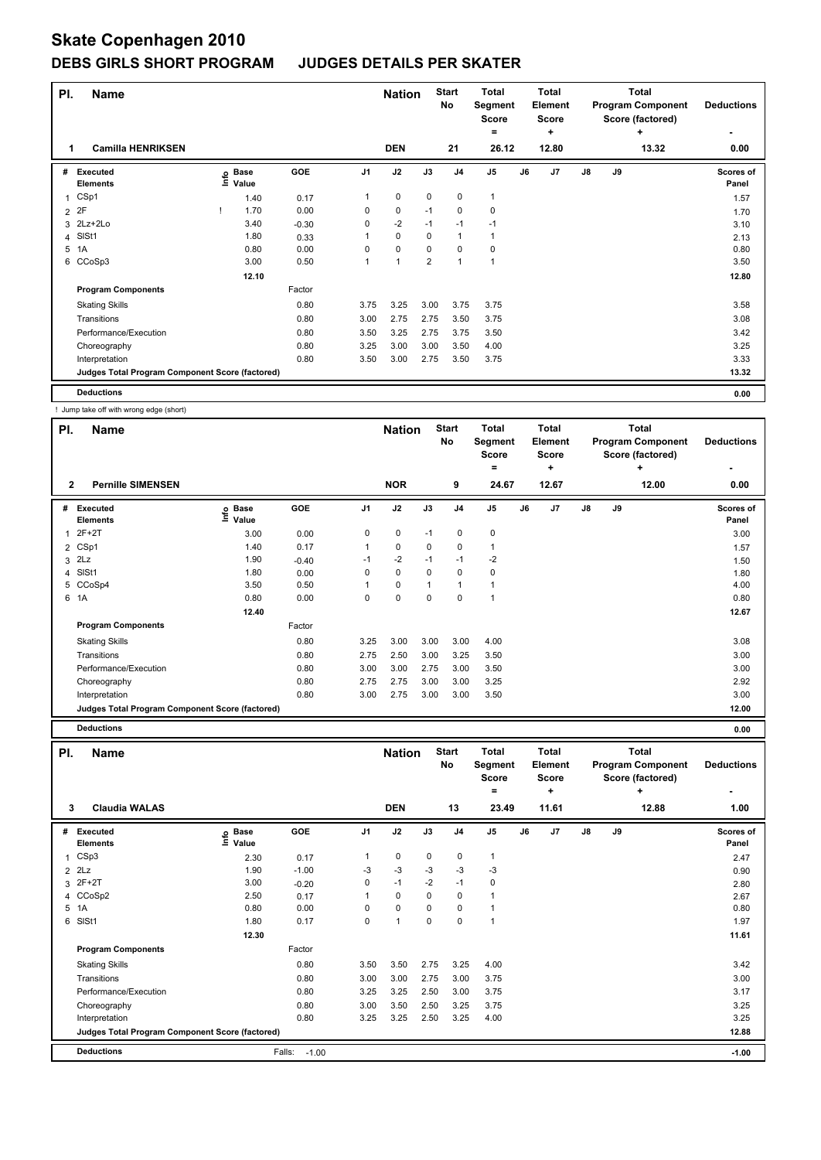|                | PI.<br><b>Name</b><br><b>Camilla HENRIKSEN</b><br>1 |  |                   |            |                | <b>Nation</b>  |                | <b>Start</b><br>No | <b>Total</b><br>Segment<br>Score<br>$\equiv$ |    | Total<br>Element<br><b>Score</b><br>٠ |               |    | Total<br><b>Program Component</b><br>Score (factored)<br>٠ | <b>Deductions</b>  |
|----------------|-----------------------------------------------------|--|-------------------|------------|----------------|----------------|----------------|--------------------|----------------------------------------------|----|---------------------------------------|---------------|----|------------------------------------------------------------|--------------------|
|                |                                                     |  |                   |            |                | <b>DEN</b>     |                | 21                 | 26.12                                        |    | 12.80                                 |               |    | 13.32                                                      | 0.00               |
| #              | <b>Executed</b><br><b>Elements</b>                  |  | e Base<br>⊆ Value | <b>GOE</b> | J <sub>1</sub> | J2             | J3             | J <sub>4</sub>     | J <sub>5</sub>                               | J6 | J <sub>7</sub>                        | $\mathsf{J}8$ | J9 |                                                            | Scores of<br>Panel |
|                | CSp1                                                |  | 1.40              | 0.17       | 1              | 0              | 0              | 0                  | $\mathbf{1}$                                 |    |                                       |               |    |                                                            | 1.57               |
| $\overline{2}$ | 2F                                                  |  | 1.70              | 0.00       | 0              | $\pmb{0}$      | $-1$           | 0                  | $\mathbf 0$                                  |    |                                       |               |    |                                                            | 1.70               |
|                | 3 2Lz+2Lo                                           |  | 3.40              | $-0.30$    | 0              | $-2$           | $-1$           | $-1$               | $-1$                                         |    |                                       |               |    |                                                            | 3.10               |
|                | 4 SISt1                                             |  | 1.80              | 0.33       |                | $\mathbf 0$    | $\Omega$       |                    |                                              |    |                                       |               |    |                                                            | 2.13               |
| 5              | 1A                                                  |  | 0.80              | 0.00       | 0              | $\mathbf 0$    | 0              | $\Omega$           | 0                                            |    |                                       |               |    |                                                            | 0.80               |
|                | 6 CCoSp3                                            |  | 3.00              | 0.50       | 1              | $\overline{1}$ | $\overline{2}$ | 1                  | 1                                            |    |                                       |               |    |                                                            | 3.50               |
|                |                                                     |  | 12.10             |            |                |                |                |                    |                                              |    |                                       |               |    |                                                            | 12.80              |
|                | <b>Program Components</b>                           |  |                   | Factor     |                |                |                |                    |                                              |    |                                       |               |    |                                                            |                    |
|                | <b>Skating Skills</b>                               |  |                   | 0.80       | 3.75           | 3.25           | 3.00           | 3.75               | 3.75                                         |    |                                       |               |    |                                                            | 3.58               |
|                | Transitions                                         |  |                   | 0.80       | 3.00           | 2.75           | 2.75           | 3.50               | 3.75                                         |    |                                       |               |    |                                                            | 3.08               |
|                | Performance/Execution                               |  |                   | 0.80       | 3.50           | 3.25           | 2.75           | 3.75               | 3.50                                         |    |                                       |               |    |                                                            | 3.42               |
|                | Choreography                                        |  |                   | 0.80       | 3.25           | 3.00           | 3.00           | 3.50               | 4.00                                         |    |                                       |               |    |                                                            | 3.25               |
|                | Interpretation                                      |  |                   | 0.80       | 3.50           | 3.00           | 2.75           | 3.50               | 3.75                                         |    |                                       |               |    |                                                            | 3.33               |
|                | Judges Total Program Component Score (factored)     |  |                   |            |                |                |                |                    |                                              |    |                                       |               |    |                                                            | 13.32              |
|                | <b>Deductions</b>                                   |  |                   |            |                |                |                |                    |                                              |    |                                       |               |    |                                                            | 0.00               |

! Jump take off with wrong edge (short)

| PI.            | <b>Name</b>                                     |                            |         |                | <b>Nation</b> |      | <b>Start</b><br>No | <b>Total</b><br>Segment<br><b>Score</b><br>$=$ |    | <b>Total</b><br>Element<br><b>Score</b><br>٠ |               |    | <b>Total</b><br><b>Program Component</b><br>Score (factored)<br>٠ | <b>Deductions</b>         |
|----------------|-------------------------------------------------|----------------------------|---------|----------------|---------------|------|--------------------|------------------------------------------------|----|----------------------------------------------|---------------|----|-------------------------------------------------------------------|---------------------------|
| $\overline{2}$ | <b>Pernille SIMENSEN</b>                        |                            |         |                | <b>NOR</b>    |      | 9                  | 24.67                                          |    | 12.67                                        |               |    | 12.00                                                             | 0.00                      |
| #              | <b>Executed</b><br><b>Elements</b>              | e Base<br>E Value<br>Value | GOE     | J <sub>1</sub> | J2            | J3   | J <sub>4</sub>     | J <sub>5</sub>                                 | J6 | J7                                           | $\mathsf{J}8$ | J9 |                                                                   | <b>Scores of</b><br>Panel |
| 1              | $2F+2T$                                         | 3.00                       | 0.00    | 0              | 0             | $-1$ | 0                  | $\pmb{0}$                                      |    |                                              |               |    |                                                                   | 3.00                      |
|                | 2 CSp1                                          | 1.40                       | 0.17    | 1              | $\mathbf 0$   | 0    | $\mathbf 0$        | 1                                              |    |                                              |               |    |                                                                   | 1.57                      |
| 3              | 2Lz                                             | 1.90                       | $-0.40$ | $-1$           | $-2$          | $-1$ | $-1$               | -2                                             |    |                                              |               |    |                                                                   | 1.50                      |
|                | 4 SISt1                                         | 1.80                       | 0.00    | 0              | $\mathbf 0$   | 0    | $\mathbf 0$        | 0                                              |    |                                              |               |    |                                                                   | 1.80                      |
|                | 5 CCoSp4                                        | 3.50                       | 0.50    | 1              | $\mathbf 0$   | 1    | 1                  | 1                                              |    |                                              |               |    |                                                                   | 4.00                      |
|                | 6 1A                                            | 0.80                       | 0.00    | 0              | $\mathbf 0$   | 0    | 0                  | $\overline{1}$                                 |    |                                              |               |    |                                                                   | 0.80                      |
|                |                                                 | 12.40                      |         |                |               |      |                    |                                                |    |                                              |               |    |                                                                   | 12.67                     |
|                | <b>Program Components</b>                       |                            | Factor  |                |               |      |                    |                                                |    |                                              |               |    |                                                                   |                           |
|                | <b>Skating Skills</b>                           |                            | 0.80    | 3.25           | 3.00          | 3.00 | 3.00               | 4.00                                           |    |                                              |               |    |                                                                   | 3.08                      |
|                | Transitions                                     |                            | 0.80    | 2.75           | 2.50          | 3.00 | 3.25               | 3.50                                           |    |                                              |               |    |                                                                   | 3.00                      |
|                | Performance/Execution                           |                            | 0.80    | 3.00           | 3.00          | 2.75 | 3.00               | 3.50                                           |    |                                              |               |    |                                                                   | 3.00                      |
|                | Choreography                                    |                            | 0.80    | 2.75           | 2.75          | 3.00 | 3.00               | 3.25                                           |    |                                              |               |    |                                                                   | 2.92                      |
|                | Interpretation                                  |                            | 0.80    | 3.00           | 2.75          | 3.00 | 3.00               | 3.50                                           |    |                                              |               |    |                                                                   | 3.00                      |
|                | Judges Total Program Component Score (factored) |                            |         |                |               |      |                    |                                                |    |                                              |               |    |                                                                   | 12.00                     |
|                | <b>Deductions</b>                               |                            |         |                |               |      |                    |                                                |    |                                              |               |    |                                                                   | 0.00                      |

| PI.          | <b>Name</b>                                     |                            |                   |                | <b>Nation</b> |             | <b>Start</b><br>No | <b>Total</b><br>Segment<br><b>Score</b><br>$=$ |    | Total<br>Element<br><b>Score</b><br>$\ddot{}$ |    |    | <b>Total</b><br><b>Program Component</b><br>Score (factored)<br>÷ | <b>Deductions</b>  |
|--------------|-------------------------------------------------|----------------------------|-------------------|----------------|---------------|-------------|--------------------|------------------------------------------------|----|-----------------------------------------------|----|----|-------------------------------------------------------------------|--------------------|
|              | <b>Claudia WALAS</b><br>3                       |                            |                   |                | <b>DEN</b>    |             | 13                 | 23.49                                          |    | 11.61                                         |    |    | 12.88                                                             | 1.00               |
| #            | <b>Executed</b><br><b>Elements</b>              | <b>Base</b><br>۴۵<br>Value | GOE               | J <sub>1</sub> | J2            | J3          | J <sub>4</sub>     | J <sub>5</sub>                                 | J6 | J <sub>7</sub>                                | J8 | J9 |                                                                   | Scores of<br>Panel |
| $\mathbf{1}$ | CSp3                                            | 2.30                       | 0.17              | 1              | $\mathbf 0$   | $\mathbf 0$ | $\mathbf 0$        | $\mathbf{1}$                                   |    |                                               |    |    |                                                                   | 2.47               |
|              | $2$ $2Lz$                                       | 1.90                       | $-1.00$           | -3             | $-3$          | $-3$        | $-3$               | $-3$                                           |    |                                               |    |    |                                                                   | 0.90               |
|              | $3 \t2F+2T$                                     | 3.00                       | $-0.20$           | 0              | $-1$          | $-2$        | $-1$               | 0                                              |    |                                               |    |    |                                                                   | 2.80               |
|              | 4 CCoSp2                                        | 2.50                       | 0.17              | 1              | $\mathbf 0$   | 0           | 0                  | 1                                              |    |                                               |    |    |                                                                   | 2.67               |
|              | 5 1A                                            | 0.80                       | 0.00              | 0              | $\mathbf 0$   | 0           | $\Omega$           | 1                                              |    |                                               |    |    |                                                                   | 0.80               |
| 6            | SISt1                                           | 1.80                       | 0.17              | 0              | 1             | 0           | 0                  | 1                                              |    |                                               |    |    |                                                                   | 1.97               |
|              |                                                 | 12.30                      |                   |                |               |             |                    |                                                |    |                                               |    |    |                                                                   | 11.61              |
|              | <b>Program Components</b>                       |                            | Factor            |                |               |             |                    |                                                |    |                                               |    |    |                                                                   |                    |
|              | <b>Skating Skills</b>                           |                            | 0.80              | 3.50           | 3.50          | 2.75        | 3.25               | 4.00                                           |    |                                               |    |    |                                                                   | 3.42               |
|              | Transitions                                     |                            | 0.80              | 3.00           | 3.00          | 2.75        | 3.00               | 3.75                                           |    |                                               |    |    |                                                                   | 3.00               |
|              | Performance/Execution                           |                            | 0.80              | 3.25           | 3.25          | 2.50        | 3.00               | 3.75                                           |    |                                               |    |    |                                                                   | 3.17               |
|              | Choreography                                    |                            | 0.80              | 3.00           | 3.50          | 2.50        | 3.25               | 3.75                                           |    |                                               |    |    |                                                                   | 3.25               |
|              | Interpretation                                  |                            | 0.80              | 3.25           | 3.25          | 2.50        | 3.25               | 4.00                                           |    |                                               |    |    |                                                                   | 3.25               |
|              | Judges Total Program Component Score (factored) |                            |                   |                |               |             |                    |                                                |    |                                               |    |    |                                                                   | 12.88              |
|              | <b>Deductions</b>                               |                            | Falls:<br>$-1.00$ |                |               |             |                    |                                                |    |                                               |    |    |                                                                   | $-1.00$            |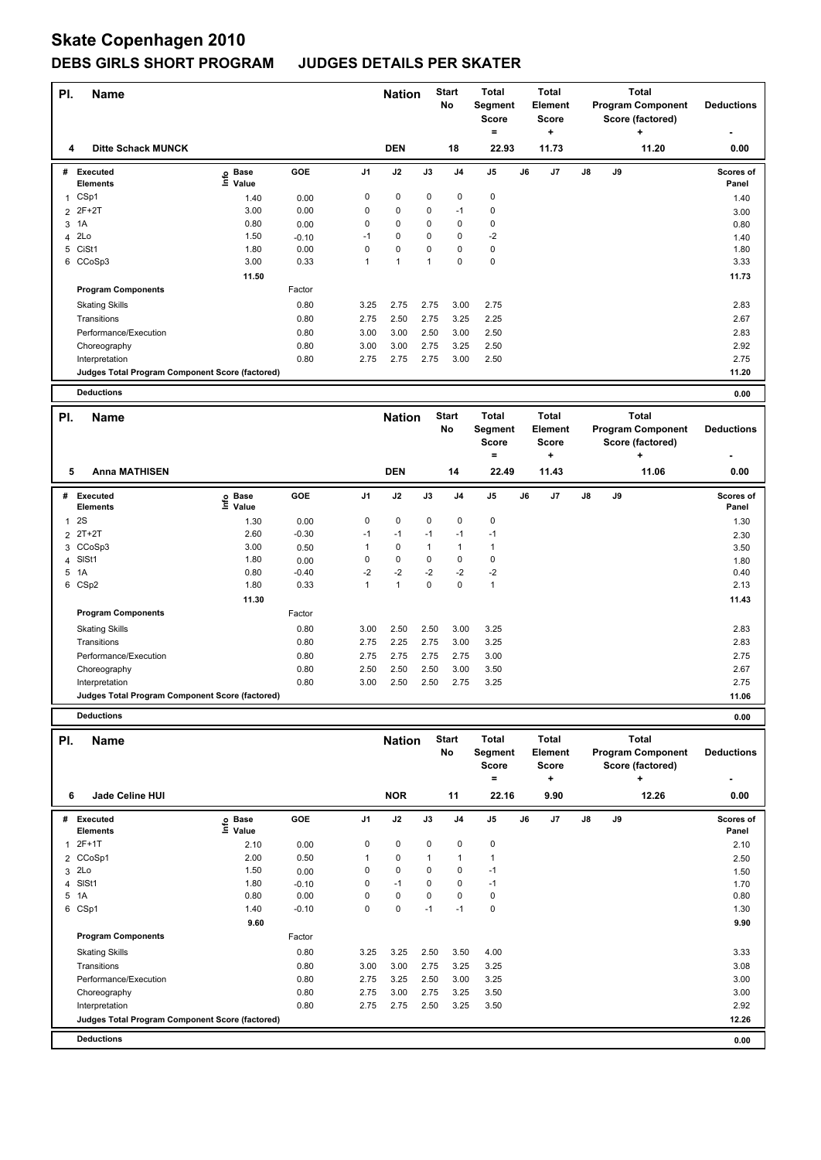| PI. | <b>Name</b>                                     |                            |            |                | <b>Nation</b>  |              | <b>Start</b><br>No | <b>Total</b><br>Segment<br><b>Score</b><br>$=$ |    | <b>Total</b><br>Element<br><b>Score</b><br>٠ |               |    | <b>Total</b><br><b>Program Component</b><br>Score (factored)<br>٠ | <b>Deductions</b>  |
|-----|-------------------------------------------------|----------------------------|------------|----------------|----------------|--------------|--------------------|------------------------------------------------|----|----------------------------------------------|---------------|----|-------------------------------------------------------------------|--------------------|
|     | <b>Ditte Schack MUNCK</b><br>4                  |                            |            |                | <b>DEN</b>     |              | 18                 | 22.93                                          |    | 11.73                                        |               |    | 11.20                                                             | 0.00               |
| #   | Executed<br><b>Elements</b>                     | e Base<br>E Value<br>Value | <b>GOE</b> | J1             | J2             | J3           | J <sub>4</sub>     | J <sub>5</sub>                                 | J6 | J7                                           | $\mathsf{J}8$ | J9 |                                                                   | Scores of<br>Panel |
|     | CSp1                                            | 1.40                       | 0.00       | $\pmb{0}$      | $\mathbf 0$    | $\mathbf 0$  | 0                  | $\mathbf 0$                                    |    |                                              |               |    |                                                                   | 1.40               |
|     | 2 2F+2T                                         | 3.00                       | 0.00       | 0              | 0              | 0            | $-1$               | 0                                              |    |                                              |               |    |                                                                   | 3.00               |
| 3   | 1A                                              | 0.80                       | 0.00       | $\mathbf 0$    | $\mathbf 0$    | $\Omega$     | 0                  | 0                                              |    |                                              |               |    |                                                                   | 0.80               |
|     | 4 2Lo                                           | 1.50                       | $-0.10$    | $-1$           | $\Omega$       | $\Omega$     | $\Omega$           | $-2$                                           |    |                                              |               |    |                                                                   | 1.40               |
| 5   | CiSt1                                           | 1.80                       | 0.00       | 0              | $\mathbf 0$    | 0            | 0                  | 0                                              |    |                                              |               |    |                                                                   | 1.80               |
|     | 6 CCoSp3                                        | 3.00                       | 0.33       | $\overline{1}$ | $\overline{1}$ | $\mathbf{1}$ | $\Omega$           | 0                                              |    |                                              |               |    |                                                                   | 3.33               |
|     |                                                 | 11.50                      |            |                |                |              |                    |                                                |    |                                              |               |    |                                                                   | 11.73              |
|     | <b>Program Components</b>                       |                            | Factor     |                |                |              |                    |                                                |    |                                              |               |    |                                                                   |                    |
|     | <b>Skating Skills</b>                           |                            | 0.80       | 3.25           | 2.75           | 2.75         | 3.00               | 2.75                                           |    |                                              |               |    |                                                                   | 2.83               |
|     | Transitions                                     |                            | 0.80       | 2.75           | 2.50           | 2.75         | 3.25               | 2.25                                           |    |                                              |               |    |                                                                   | 2.67               |
|     | Performance/Execution                           |                            | 0.80       | 3.00           | 3.00           | 2.50         | 3.00               | 2.50                                           |    |                                              |               |    |                                                                   | 2.83               |
|     | Choreography                                    |                            | 0.80       | 3.00           | 3.00           | 2.75         | 3.25               | 2.50                                           |    |                                              |               |    |                                                                   | 2.92               |
|     | Interpretation                                  |                            | 0.80       | 2.75           | 2.75           | 2.75         | 3.00               | 2.50                                           |    |                                              |               |    |                                                                   | 2.75               |
|     | Judges Total Program Component Score (factored) |                            |            |                |                |              |                    |                                                |    |                                              |               |    |                                                                   | 11.20              |
|     | <b>Deductions</b>                               |                            |            |                |                |              |                    |                                                |    |                                              |               |    |                                                                   | 0.00               |
| PI. | <b>Name</b>                                     |                            |            |                | <b>Nation</b>  |              | <b>Start</b><br>No | <b>Total</b><br>Segment                        |    | <b>Total</b><br>Element                      |               |    | <b>Total</b><br><b>Program Component</b>                          | <b>Deductions</b>  |

|              |                                                 |                            |         |                |             |      |                | $v_{\rm{c}}$<br><b>Score</b> |    | --------<br>Score |               |    | n rogram vomponem<br>Score (factored) | <b>Deagenons</b>         |
|--------------|-------------------------------------------------|----------------------------|---------|----------------|-------------|------|----------------|------------------------------|----|-------------------|---------------|----|---------------------------------------|--------------------------|
|              |                                                 |                            |         |                |             |      |                | ٠                            |    | ÷                 |               |    | ٠                                     | $\overline{\phantom{0}}$ |
| 5            | <b>Anna MATHISEN</b>                            |                            |         |                | <b>DEN</b>  |      | 14             | 22.49                        |    | 11.43             |               |    | 11.06                                 | 0.00                     |
| #            | Executed<br><b>Elements</b>                     | e Base<br>E Value<br>Value | GOE     | J <sub>1</sub> | J2          | J3   | J <sub>4</sub> | J5                           | J6 | J7                | $\mathsf{J}8$ | J9 |                                       | Scores of<br>Panel       |
| $\mathbf{1}$ | 2S                                              | 1.30                       | 0.00    | 0              | 0           | 0    | 0              | $\pmb{0}$                    |    |                   |               |    |                                       | 1.30                     |
|              | 2 2T+2T                                         | 2.60                       | $-0.30$ | $-1$           | $-1$        | $-1$ | $-1$           | $-1$                         |    |                   |               |    |                                       | 2.30                     |
|              | 3 CCoSp3                                        | 3.00                       | 0.50    | 1              | 0           | 1    |                |                              |    |                   |               |    |                                       | 3.50                     |
|              | 4 SISt1                                         | 1.80                       | 0.00    | 0              | $\mathbf 0$ | 0    | $\mathbf 0$    | 0                            |    |                   |               |    |                                       | 1.80                     |
|              | 5 1A                                            | 0.80                       | $-0.40$ | $-2$           | $-2$        | $-2$ | $-2$           | $-2$                         |    |                   |               |    |                                       | 0.40                     |
|              | 6 CSp2                                          | 1.80                       | 0.33    | 1              | 1           | 0    | 0              | $\mathbf{1}$                 |    |                   |               |    |                                       | 2.13                     |
|              |                                                 | 11.30                      |         |                |             |      |                |                              |    |                   |               |    |                                       | 11.43                    |
|              | <b>Program Components</b>                       |                            | Factor  |                |             |      |                |                              |    |                   |               |    |                                       |                          |
|              | <b>Skating Skills</b>                           |                            | 0.80    | 3.00           | 2.50        | 2.50 | 3.00           | 3.25                         |    |                   |               |    |                                       | 2.83                     |
|              | Transitions                                     |                            | 0.80    | 2.75           | 2.25        | 2.75 | 3.00           | 3.25                         |    |                   |               |    |                                       | 2.83                     |
|              | Performance/Execution                           |                            | 0.80    | 2.75           | 2.75        | 2.75 | 2.75           | 3.00                         |    |                   |               |    |                                       | 2.75                     |
|              | Choreography                                    |                            | 0.80    | 2.50           | 2.50        | 2.50 | 3.00           | 3.50                         |    |                   |               |    |                                       | 2.67                     |
|              | Interpretation                                  |                            | 0.80    | 3.00           | 2.50        | 2.50 | 2.75           | 3.25                         |    |                   |               |    |                                       | 2.75                     |
|              | Judges Total Program Component Score (factored) |                            |         |                |             |      |                |                              |    |                   |               |    |                                       | 11.06                    |

**Deductions 0.00**

|              | PI.<br><b>Name</b><br>6                         |                            |            |                | <b>Nation</b> |              | <b>Start</b><br>No | <b>Total</b><br>Segment<br><b>Score</b><br>$=$ |    | <b>Total</b><br>Element<br><b>Score</b><br>÷ |               |    | Total<br><b>Program Component</b><br>Score (factored)<br>÷ | <b>Deductions</b>         |
|--------------|-------------------------------------------------|----------------------------|------------|----------------|---------------|--------------|--------------------|------------------------------------------------|----|----------------------------------------------|---------------|----|------------------------------------------------------------|---------------------------|
|              | Jade Celine HUI                                 |                            |            |                | <b>NOR</b>    |              | 11                 | 22.16                                          |    | 9.90                                         |               |    | 12.26                                                      | 0.00                      |
| #            | <b>Executed</b><br><b>Elements</b>              | e Base<br>E Value<br>Value | <b>GOE</b> | J <sub>1</sub> | J2            | J3           | J <sub>4</sub>     | J <sub>5</sub>                                 | J6 | J7                                           | $\mathsf{J}8$ | J9 |                                                            | <b>Scores of</b><br>Panel |
| $\mathbf{1}$ | $2F+1T$                                         | 2.10                       | 0.00       | 0              | $\mathbf 0$   | $\mathbf 0$  | $\mathbf 0$        | 0                                              |    |                                              |               |    |                                                            | 2.10                      |
|              | 2 CCoSp1                                        | 2.00                       | 0.50       | 1              | $\mathbf 0$   | $\mathbf{1}$ | $\mathbf{1}$       | 1                                              |    |                                              |               |    |                                                            | 2.50                      |
| 3            | 2Lo                                             | 1.50                       | 0.00       | 0              | $\mathbf 0$   | 0            | $\mathbf 0$        | $-1$                                           |    |                                              |               |    |                                                            | 1.50                      |
| 4            | SISt1                                           | 1.80                       | $-0.10$    | 0              | $-1$          | 0            | 0                  | $-1$                                           |    |                                              |               |    |                                                            | 1.70                      |
| 5            | 1A                                              | 0.80                       | 0.00       | 0              | 0             | 0            | 0                  | 0                                              |    |                                              |               |    |                                                            | 0.80                      |
| 6            | CSp1                                            | 1.40                       | $-0.10$    | 0              | $\mathbf 0$   | $-1$         | $-1$               | 0                                              |    |                                              |               |    |                                                            | 1.30                      |
|              |                                                 | 9.60                       |            |                |               |              |                    |                                                |    |                                              |               |    |                                                            | 9.90                      |
|              | <b>Program Components</b>                       |                            | Factor     |                |               |              |                    |                                                |    |                                              |               |    |                                                            |                           |
|              | <b>Skating Skills</b>                           |                            | 0.80       | 3.25           | 3.25          | 2.50         | 3.50               | 4.00                                           |    |                                              |               |    |                                                            | 3.33                      |
|              | Transitions                                     |                            | 0.80       | 3.00           | 3.00          | 2.75         | 3.25               | 3.25                                           |    |                                              |               |    |                                                            | 3.08                      |
|              | Performance/Execution                           |                            | 0.80       | 2.75           | 3.25          | 2.50         | 3.00               | 3.25                                           |    |                                              |               |    |                                                            | 3.00                      |
|              | Choreography                                    |                            | 0.80       | 2.75           | 3.00          | 2.75         | 3.25               | 3.50                                           |    |                                              |               |    |                                                            | 3.00                      |
|              | Interpretation                                  |                            | 0.80       | 2.75           | 2.75          | 2.50         | 3.25               | 3.50                                           |    |                                              |               |    |                                                            | 2.92                      |
|              | Judges Total Program Component Score (factored) |                            |            |                |               |              |                    |                                                |    |                                              |               |    |                                                            | 12.26                     |
|              | <b>Deductions</b>                               |                            |            |                |               |              |                    |                                                |    |                                              |               |    |                                                            | 0.00                      |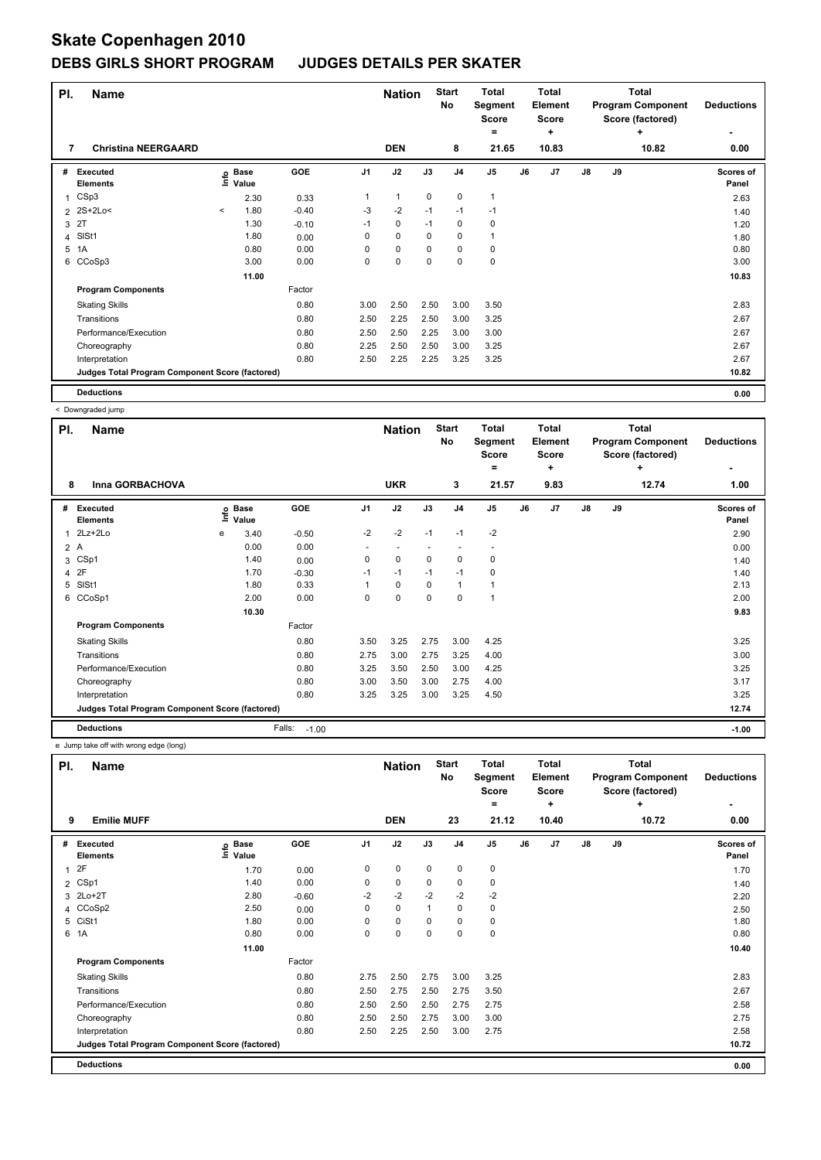| PI. | <b>Name</b>                                     |         |                      |            |                | <b>Nation</b> |             | <b>Start</b><br>No | <b>Total</b><br>Segment<br><b>Score</b><br>٠ |    | <b>Total</b><br>Element<br>Score<br>÷ |               |    | <b>Total</b><br><b>Program Component</b><br>Score (factored)<br>٠ | <b>Deductions</b>  |
|-----|-------------------------------------------------|---------|----------------------|------------|----------------|---------------|-------------|--------------------|----------------------------------------------|----|---------------------------------------|---------------|----|-------------------------------------------------------------------|--------------------|
| 7   | <b>Christina NEERGAARD</b>                      |         |                      |            |                | <b>DEN</b>    |             | 8                  | 21.65                                        |    | 10.83                                 |               |    | 10.82                                                             | 0.00               |
| #   | <b>Executed</b><br><b>Elements</b>              | ۴٥      | <b>Base</b><br>Value | <b>GOE</b> | J <sub>1</sub> | J2            | J3          | J <sub>4</sub>     | J <sub>5</sub>                               | J6 | J <sub>7</sub>                        | $\mathsf{J}8$ | J9 |                                                                   | Scores of<br>Panel |
| 1   | CSp3                                            |         | 2.30                 | 0.33       | 1              | $\mathbf{1}$  | $\mathbf 0$ | $\mathbf 0$        | $\overline{1}$                               |    |                                       |               |    |                                                                   | 2.63               |
|     | 2 2S+2Lo<                                       | $\prec$ | 1.80                 | $-0.40$    | $-3$           | $-2$          | $-1$        | $-1$               | $-1$                                         |    |                                       |               |    |                                                                   | 1.40               |
| 3   | 2T                                              |         | 1.30                 | $-0.10$    | $-1$           | 0             | $-1$        | 0                  | 0                                            |    |                                       |               |    |                                                                   | 1.20               |
| 4   | SISt1                                           |         | 1.80                 | 0.00       | 0              | $\Omega$      | $\Omega$    | 0                  | $\overline{1}$                               |    |                                       |               |    |                                                                   | 1.80               |
| 5   | 1A                                              |         | 0.80                 | 0.00       | 0              | 0             | $\Omega$    | 0                  | 0                                            |    |                                       |               |    |                                                                   | 0.80               |
| 6   | CCoSp3                                          |         | 3.00                 | 0.00       | 0              | 0             | 0           | 0                  | 0                                            |    |                                       |               |    |                                                                   | 3.00               |
|     |                                                 |         | 11.00                |            |                |               |             |                    |                                              |    |                                       |               |    |                                                                   | 10.83              |
|     | <b>Program Components</b>                       |         |                      | Factor     |                |               |             |                    |                                              |    |                                       |               |    |                                                                   |                    |
|     | <b>Skating Skills</b>                           |         |                      | 0.80       | 3.00           | 2.50          | 2.50        | 3.00               | 3.50                                         |    |                                       |               |    |                                                                   | 2.83               |
|     | Transitions                                     |         |                      | 0.80       | 2.50           | 2.25          | 2.50        | 3.00               | 3.25                                         |    |                                       |               |    |                                                                   | 2.67               |
|     | Performance/Execution                           |         |                      | 0.80       | 2.50           | 2.50          | 2.25        | 3.00               | 3.00                                         |    |                                       |               |    |                                                                   | 2.67               |
|     | Choreography                                    |         |                      | 0.80       | 2.25           | 2.50          | 2.50        | 3.00               | 3.25                                         |    |                                       |               |    |                                                                   | 2.67               |
|     | Interpretation                                  |         |                      | 0.80       | 2.50           | 2.25          | 2.25        | 3.25               | 3.25                                         |    |                                       |               |    |                                                                   | 2.67               |
|     | Judges Total Program Component Score (factored) |         |                      |            |                |               |             |                    |                                              |    |                                       |               |    |                                                                   | 10.82              |
|     | <b>Deductions</b>                               |         |                      |            |                |               |             |                    |                                              |    |                                       |               |    |                                                                   | 0.00               |

|     | < Downgraded jump                               |      |                      |                   |                          |                          |             |                    |                                              |    |                                              |               |    |                                                                   |                    |
|-----|-------------------------------------------------|------|----------------------|-------------------|--------------------------|--------------------------|-------------|--------------------|----------------------------------------------|----|----------------------------------------------|---------------|----|-------------------------------------------------------------------|--------------------|
| PI. | Name                                            |      |                      |                   |                          | <b>Nation</b>            |             | <b>Start</b><br>No | <b>Total</b><br>Segment<br><b>Score</b><br>۰ |    | <b>Total</b><br>Element<br><b>Score</b><br>÷ |               |    | <b>Total</b><br><b>Program Component</b><br>Score (factored)<br>٠ | <b>Deductions</b>  |
| 8   | Inna GORBACHOVA                                 |      |                      |                   |                          | <b>UKR</b>               |             | 3                  | 21.57                                        |    | 9.83                                         |               |    | 12.74                                                             | 1.00               |
| #   | Executed<br><b>Elements</b>                     | ١nf٥ | <b>Base</b><br>Value | <b>GOE</b>        | J <sub>1</sub>           | J2                       | J3          | J <sub>4</sub>     | J <sub>5</sub>                               | J6 | J7                                           | $\mathsf{J}8$ | J9 |                                                                   | Scores of<br>Panel |
| 1   | 2Lz+2Lo                                         | e    | 3.40                 | $-0.50$           | $-2$                     | $-2$                     | $-1$        | $-1$               | $-2$                                         |    |                                              |               |    |                                                                   | 2.90               |
| 2A  |                                                 |      | 0.00                 | 0.00              | $\overline{\phantom{a}}$ | $\overline{\phantom{a}}$ |             |                    | $\overline{\phantom{a}}$                     |    |                                              |               |    |                                                                   | 0.00               |
| 3   | CSp1                                            |      | 1.40                 | 0.00              | 0                        | $\Omega$                 | $\Omega$    | $\Omega$           | 0                                            |    |                                              |               |    |                                                                   | 1.40               |
| 4   | 2F                                              |      | 1.70                 | $-0.30$           | $-1$                     | $-1$                     | $-1$        | $-1$               | $\mathbf 0$                                  |    |                                              |               |    |                                                                   | 1.40               |
| 5   | SISt1                                           |      | 1.80                 | 0.33              | 1                        | $\mathbf 0$              | $\Omega$    | $\mathbf{1}$       | $\mathbf{1}$                                 |    |                                              |               |    |                                                                   | 2.13               |
| 6   | CCoSp1                                          |      | 2.00                 | 0.00              | 0                        | $\pmb{0}$                | $\mathbf 0$ | $\mathbf 0$        | $\overline{1}$                               |    |                                              |               |    |                                                                   | 2.00               |
|     |                                                 |      | 10.30                |                   |                          |                          |             |                    |                                              |    |                                              |               |    |                                                                   | 9.83               |
|     | <b>Program Components</b>                       |      |                      | Factor            |                          |                          |             |                    |                                              |    |                                              |               |    |                                                                   |                    |
|     | <b>Skating Skills</b>                           |      |                      | 0.80              | 3.50                     | 3.25                     | 2.75        | 3.00               | 4.25                                         |    |                                              |               |    |                                                                   | 3.25               |
|     | Transitions                                     |      |                      | 0.80              | 2.75                     | 3.00                     | 2.75        | 3.25               | 4.00                                         |    |                                              |               |    |                                                                   | 3.00               |
|     | Performance/Execution                           |      |                      | 0.80              | 3.25                     | 3.50                     | 2.50        | 3.00               | 4.25                                         |    |                                              |               |    |                                                                   | 3.25               |
|     | Choreography                                    |      |                      | 0.80              | 3.00                     | 3.50                     | 3.00        | 2.75               | 4.00                                         |    |                                              |               |    |                                                                   | 3.17               |
|     | Interpretation                                  |      |                      | 0.80              | 3.25                     | 3.25                     | 3.00        | 3.25               | 4.50                                         |    |                                              |               |    |                                                                   | 3.25               |
|     | Judges Total Program Component Score (factored) |      |                      |                   |                          |                          |             |                    |                                              |    |                                              |               |    |                                                                   | 12.74              |
|     | <b>Deductions</b>                               |      |                      | Falls:<br>$-1.00$ |                          |                          |             |                    |                                              |    |                                              |               |    |                                                                   | $-1.00$            |

e Jump take off with wrong edge (long)

| PI.            | <b>Name</b>                                     | <b>Emilie MUFF</b>         |         |                | <b>Nation</b> |              | <b>Start</b><br>No | <b>Total</b><br>Segment<br>Score<br>۰ |    | Total<br>Element<br><b>Score</b><br>٠ |               |    | <b>Total</b><br><b>Program Component</b><br>Score (factored)<br>÷ | <b>Deductions</b>  |
|----------------|-------------------------------------------------|----------------------------|---------|----------------|---------------|--------------|--------------------|---------------------------------------|----|---------------------------------------|---------------|----|-------------------------------------------------------------------|--------------------|
| 9              |                                                 |                            |         |                | <b>DEN</b>    |              | 23                 | 21.12                                 |    | 10.40                                 |               |    | 10.72                                                             | 0.00               |
| #              | <b>Executed</b><br><b>Elements</b>              | <b>Base</b><br>١m<br>Value | GOE     | J <sub>1</sub> | J2            | J3           | J <sub>4</sub>     | J <sub>5</sub>                        | J6 | J <sub>7</sub>                        | $\mathsf{J}8$ | J9 |                                                                   | Scores of<br>Panel |
| 1              | 2F                                              | 1.70                       | 0.00    | 0              | $\mathbf 0$   | $\mathbf 0$  | $\mathbf 0$        | $\pmb{0}$                             |    |                                       |               |    |                                                                   | 1.70               |
| $\overline{2}$ | CSp1                                            | 1.40                       | 0.00    | 0              | $\mathbf 0$   | 0            | 0                  | 0                                     |    |                                       |               |    |                                                                   | 1.40               |
| 3              | $2Lo+2T$                                        | 2.80                       | $-0.60$ | $-2$           | $-2$          | $-2$         | $-2$               | $-2$                                  |    |                                       |               |    |                                                                   | 2.20               |
|                | 4 CCoSp2                                        | 2.50                       | 0.00    | 0              | 0             | $\mathbf{1}$ | 0                  | 0                                     |    |                                       |               |    |                                                                   | 2.50               |
| 5              | CiSt1                                           | 1.80                       | 0.00    | $\Omega$       | $\mathbf 0$   | $\Omega$     | 0                  | 0                                     |    |                                       |               |    |                                                                   | 1.80               |
|                | 6 1A                                            | 0.80                       | 0.00    | 0              | $\mathbf 0$   | 0            | 0                  | $\pmb{0}$                             |    |                                       |               |    |                                                                   | 0.80               |
|                |                                                 | 11.00                      |         |                |               |              |                    |                                       |    |                                       |               |    |                                                                   | 10.40              |
|                | <b>Program Components</b>                       |                            | Factor  |                |               |              |                    |                                       |    |                                       |               |    |                                                                   |                    |
|                | <b>Skating Skills</b>                           |                            | 0.80    | 2.75           | 2.50          | 2.75         | 3.00               | 3.25                                  |    |                                       |               |    |                                                                   | 2.83               |
|                | Transitions                                     |                            | 0.80    | 2.50           | 2.75          | 2.50         | 2.75               | 3.50                                  |    |                                       |               |    |                                                                   | 2.67               |
|                | Performance/Execution                           |                            | 0.80    | 2.50           | 2.50          | 2.50         | 2.75               | 2.75                                  |    |                                       |               |    |                                                                   | 2.58               |
|                | Choreography                                    |                            | 0.80    | 2.50           | 2.50          | 2.75         | 3.00               | 3.00                                  |    |                                       |               |    |                                                                   | 2.75               |
|                | Interpretation                                  |                            | 0.80    | 2.50           | 2.25          | 2.50         | 3.00               | 2.75                                  |    |                                       |               |    |                                                                   | 2.58               |
|                | Judges Total Program Component Score (factored) |                            |         |                |               |              |                    |                                       |    |                                       |               |    |                                                                   | 10.72              |
|                | <b>Deductions</b>                               |                            |         |                |               |              |                    |                                       |    |                                       |               |    |                                                                   | 0.00               |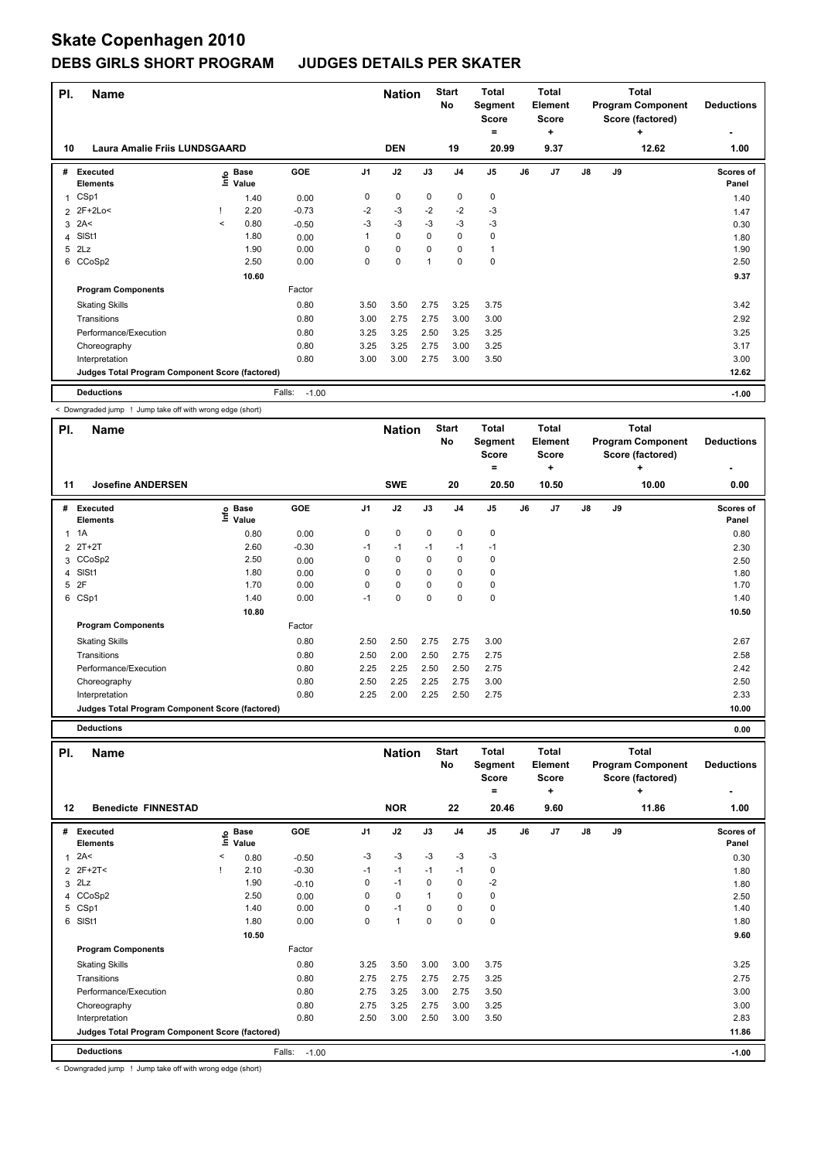| PI. | <b>Name</b>                                     |         |                   |                   |                | <b>Nation</b> |             | <b>Start</b><br>No | <b>Total</b><br>Segment<br><b>Score</b><br>۰ |    | Total<br>Element<br>Score<br>٠ |    |    | <b>Total</b><br><b>Program Component</b><br>Score (factored)<br>÷ | <b>Deductions</b>  |
|-----|-------------------------------------------------|---------|-------------------|-------------------|----------------|---------------|-------------|--------------------|----------------------------------------------|----|--------------------------------|----|----|-------------------------------------------------------------------|--------------------|
| 10  | <b>Laura Amalie Friis LUNDSGAARD</b>            |         |                   |                   |                | <b>DEN</b>    |             | 19                 | 20.99                                        |    | 9.37                           |    |    | 12.62                                                             | 1.00               |
| #   | <b>Executed</b><br><b>Elements</b>              |         | e Base<br>⊆ Value | GOE               | J <sub>1</sub> | J2            | J3          | J <sub>4</sub>     | J <sub>5</sub>                               | J6 | J <sub>7</sub>                 | J8 | J9 |                                                                   | Scores of<br>Panel |
|     | CSp1                                            |         | 1.40              | 0.00              | 0              | $\mathbf 0$   | $\mathbf 0$ | 0                  | $\pmb{0}$                                    |    |                                |    |    |                                                                   | 1.40               |
|     | 2 2F+2Lo<                                       |         | 2.20              | $-0.73$           | $-2$           | $-3$          | $-2$        | $-2$               | $-3$                                         |    |                                |    |    |                                                                   | 1.47               |
|     | $3$ 2A<                                         | $\prec$ | 0.80              | $-0.50$           | $-3$           | $-3$          | $-3$        | $-3$               | $-3$                                         |    |                                |    |    |                                                                   | 0.30               |
| 4   | SISt1                                           |         | 1.80              | 0.00              | 1              | $\mathbf 0$   | 0           | 0                  | 0                                            |    |                                |    |    |                                                                   | 1.80               |
| 5   | 2Lz                                             |         | 1.90              | 0.00              | $\Omega$       | $\mathbf 0$   | 0           | $\Omega$           | 1                                            |    |                                |    |    |                                                                   | 1.90               |
|     | 6 CCoSp2                                        |         | 2.50              | 0.00              | 0              | 0             | 1           | $\mathbf 0$        | $\pmb{0}$                                    |    |                                |    |    |                                                                   | 2.50               |
|     |                                                 |         | 10.60             |                   |                |               |             |                    |                                              |    |                                |    |    |                                                                   | 9.37               |
|     | <b>Program Components</b>                       |         |                   | Factor            |                |               |             |                    |                                              |    |                                |    |    |                                                                   |                    |
|     | <b>Skating Skills</b>                           |         |                   | 0.80              | 3.50           | 3.50          | 2.75        | 3.25               | 3.75                                         |    |                                |    |    |                                                                   | 3.42               |
|     | Transitions                                     |         |                   | 0.80              | 3.00           | 2.75          | 2.75        | 3.00               | 3.00                                         |    |                                |    |    |                                                                   | 2.92               |
|     | Performance/Execution                           |         |                   | 0.80              | 3.25           | 3.25          | 2.50        | 3.25               | 3.25                                         |    |                                |    |    |                                                                   | 3.25               |
|     | Choreography                                    |         |                   | 0.80              | 3.25           | 3.25          | 2.75        | 3.00               | 3.25                                         |    |                                |    |    |                                                                   | 3.17               |
|     | Interpretation                                  |         |                   | 0.80              | 3.00           | 3.00          | 2.75        | 3.00               | 3.50                                         |    |                                |    |    |                                                                   | 3.00               |
|     | Judges Total Program Component Score (factored) |         |                   |                   |                |               |             |                    |                                              |    |                                |    |    |                                                                   | 12.62              |
|     | <b>Deductions</b>                               |         |                   | Falls:<br>$-1.00$ |                |               |             |                    |                                              |    |                                |    |    |                                                                   | $-1.00$            |

< Downgraded jump ! Jump take off with wrong edge (short)

| PI. | <b>Name</b>                                     |                            |         |                | <b>Nation</b> |          | <b>Start</b><br>No | Total<br>Segment<br><b>Score</b><br>= |    | <b>Total</b><br>Element<br><b>Score</b><br>٠ |    |    | <b>Total</b><br><b>Program Component</b><br>Score (factored)<br>÷ | <b>Deductions</b>                |
|-----|-------------------------------------------------|----------------------------|---------|----------------|---------------|----------|--------------------|---------------------------------------|----|----------------------------------------------|----|----|-------------------------------------------------------------------|----------------------------------|
| 11  | <b>Josefine ANDERSEN</b>                        |                            |         |                | <b>SWE</b>    |          | 20                 | 20.50                                 |    | 10.50                                        |    |    | 10.00                                                             | $\overline{\phantom{0}}$<br>0.00 |
| #   | <b>Executed</b><br><b>Elements</b>              | e Base<br>E Value<br>Value | GOE     | J <sub>1</sub> | J2            | J3       | J <sub>4</sub>     | J <sub>5</sub>                        | J6 | J <sub>7</sub>                               | J8 | J9 |                                                                   | <b>Scores of</b><br>Panel        |
| 1   | 1A                                              | 0.80                       | 0.00    | 0              | $\mathbf 0$   | 0        | 0                  | $\mathbf 0$                           |    |                                              |    |    |                                                                   | 0.80                             |
|     | 2 2T+2T                                         | 2.60                       | $-0.30$ | $-1$           | $-1$          | $-1$     | $-1$               | $-1$                                  |    |                                              |    |    |                                                                   | 2.30                             |
|     | 3 CCoSp2                                        | 2.50                       | 0.00    | 0              | 0             | $\Omega$ | 0                  | 0                                     |    |                                              |    |    |                                                                   | 2.50                             |
|     | 4 SISt1                                         | 1.80                       | 0.00    | 0              | 0             | 0        | 0                  | 0                                     |    |                                              |    |    |                                                                   | 1.80                             |
|     | 5 2F                                            | 1.70                       | 0.00    | 0              | 0             | 0        | 0                  | 0                                     |    |                                              |    |    |                                                                   | 1.70                             |
|     | 6 CSp1                                          | 1.40                       | 0.00    | $-1$           | 0             | 0        | 0                  | 0                                     |    |                                              |    |    |                                                                   | 1.40                             |
|     |                                                 | 10.80                      |         |                |               |          |                    |                                       |    |                                              |    |    |                                                                   | 10.50                            |
|     | <b>Program Components</b>                       |                            | Factor  |                |               |          |                    |                                       |    |                                              |    |    |                                                                   |                                  |
|     | <b>Skating Skills</b>                           |                            | 0.80    | 2.50           | 2.50          | 2.75     | 2.75               | 3.00                                  |    |                                              |    |    |                                                                   | 2.67                             |
|     | Transitions                                     |                            | 0.80    | 2.50           | 2.00          | 2.50     | 2.75               | 2.75                                  |    |                                              |    |    |                                                                   | 2.58                             |
|     | Performance/Execution                           |                            | 0.80    | 2.25           | 2.25          | 2.50     | 2.50               | 2.75                                  |    |                                              |    |    |                                                                   | 2.42                             |
|     | Choreography                                    |                            | 0.80    | 2.50           | 2.25          | 2.25     | 2.75               | 3.00                                  |    |                                              |    |    |                                                                   | 2.50                             |
|     | Interpretation                                  |                            | 0.80    | 2.25           | 2.00          | 2.25     | 2.50               | 2.75                                  |    |                                              |    |    |                                                                   | 2.33                             |
|     | Judges Total Program Component Score (factored) |                            |         |                |               |          |                    |                                       |    |                                              |    |    |                                                                   | 10.00                            |
|     | <b>Deductions</b>                               |                            |         |                |               |          |                    |                                       |    |                                              |    |    |                                                                   | 0.00                             |

| PI.          | <b>Name</b>                                     |         |                            |                   |                | <b>Nation</b> |              | <b>Start</b><br>No | <b>Total</b><br>Segment<br><b>Score</b><br>۰ |    | <b>Total</b><br>Element<br>Score<br>٠ |    |    | Total<br><b>Program Component</b><br>Score (factored)<br>٠ | <b>Deductions</b>  |
|--------------|-------------------------------------------------|---------|----------------------------|-------------------|----------------|---------------|--------------|--------------------|----------------------------------------------|----|---------------------------------------|----|----|------------------------------------------------------------|--------------------|
| 12           | <b>Benedicte FINNESTAD</b>                      |         |                            |                   |                | <b>NOR</b>    |              | 22                 | 20.46                                        |    | 9.60                                  |    |    | 11.86                                                      | 1.00               |
| #            | Executed<br><b>Elements</b>                     |         | e Base<br>E Value<br>Value | <b>GOE</b>        | J <sub>1</sub> | J2            | J3           | J <sub>4</sub>     | $\mathsf{J}5$                                | J6 | J <sub>7</sub>                        | J8 | J9 |                                                            | Scores of<br>Panel |
| $\mathbf{1}$ | 2A<                                             | $\,<\,$ | 0.80                       | $-0.50$           | -3             | $-3$          | $-3$         | $-3$               | $-3$                                         |    |                                       |    |    |                                                            | 0.30               |
|              | 2 2F+2T<                                        |         | 2.10                       | $-0.30$           | $-1$           | $-1$          | $-1$         | $-1$               | 0                                            |    |                                       |    |    |                                                            | 1.80               |
|              | $3$ $2Lz$                                       |         | 1.90                       | $-0.10$           | 0              | $-1$          | $\Omega$     | 0                  | $-2$                                         |    |                                       |    |    |                                                            | 1.80               |
|              | 4 CCoSp2                                        |         | 2.50                       | 0.00              | 0              | $\mathbf 0$   | $\mathbf{1}$ | 0                  | 0                                            |    |                                       |    |    |                                                            | 2.50               |
|              | 5 CSp1                                          |         | 1.40                       | 0.00              | 0              | $-1$          | 0            | 0                  | 0                                            |    |                                       |    |    |                                                            | 1.40               |
|              | 6 SISt1                                         |         | 1.80                       | 0.00              | 0              | $\mathbf{1}$  | 0            | 0                  | $\pmb{0}$                                    |    |                                       |    |    |                                                            | 1.80               |
|              |                                                 |         | 10.50                      |                   |                |               |              |                    |                                              |    |                                       |    |    |                                                            | 9.60               |
|              | <b>Program Components</b>                       |         |                            | Factor            |                |               |              |                    |                                              |    |                                       |    |    |                                                            |                    |
|              | <b>Skating Skills</b>                           |         |                            | 0.80              | 3.25           | 3.50          | 3.00         | 3.00               | 3.75                                         |    |                                       |    |    |                                                            | 3.25               |
|              | Transitions                                     |         |                            | 0.80              | 2.75           | 2.75          | 2.75         | 2.75               | 3.25                                         |    |                                       |    |    |                                                            | 2.75               |
|              | Performance/Execution                           |         |                            | 0.80              | 2.75           | 3.25          | 3.00         | 2.75               | 3.50                                         |    |                                       |    |    |                                                            | 3.00               |
|              | Choreography                                    |         |                            | 0.80              | 2.75           | 3.25          | 2.75         | 3.00               | 3.25                                         |    |                                       |    |    |                                                            | 3.00               |
|              | Interpretation                                  |         |                            | 0.80              | 2.50           | 3.00          | 2.50         | 3.00               | 3.50                                         |    |                                       |    |    |                                                            | 2.83               |
|              | Judges Total Program Component Score (factored) |         |                            |                   |                |               |              |                    |                                              |    |                                       |    |    |                                                            | 11.86              |
|              | <b>Deductions</b>                               |         |                            | Falls:<br>$-1.00$ |                |               |              |                    |                                              |    |                                       |    |    |                                                            | $-1.00$            |

< Downgraded jump ! Jump take off with wrong edge (short)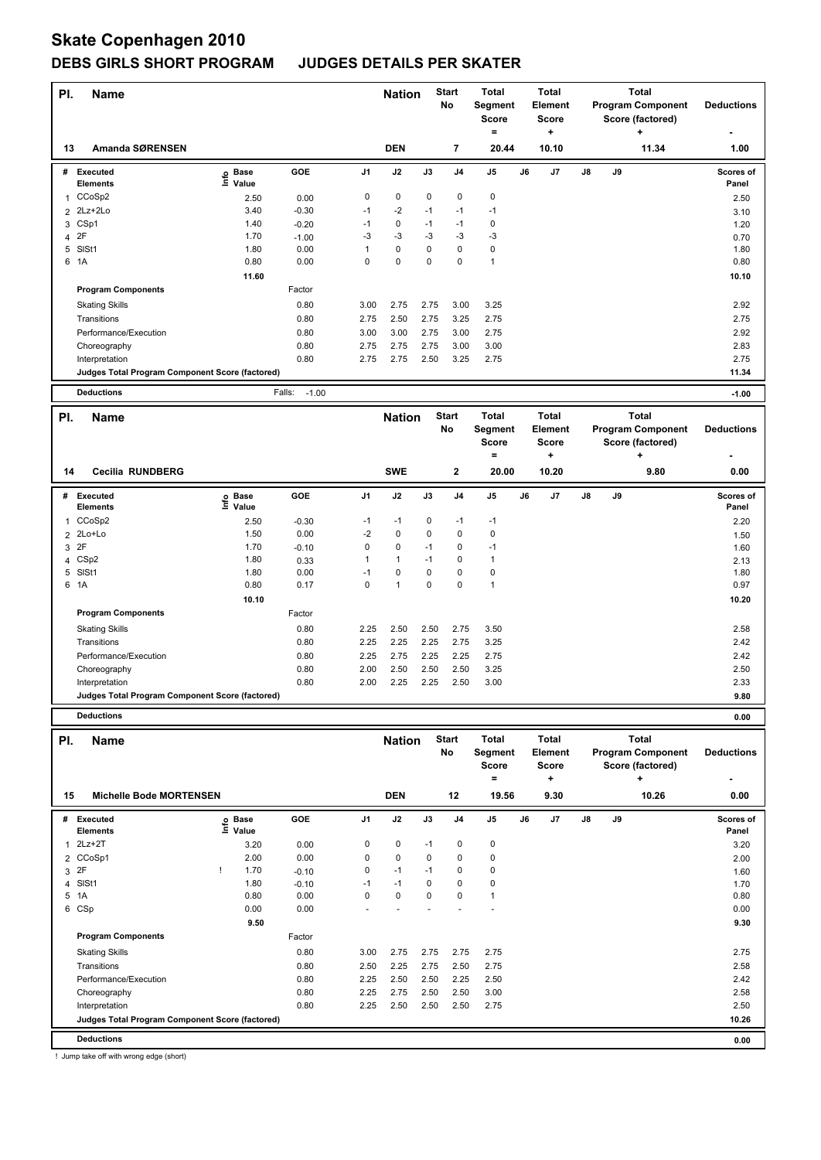# **Skate Copenhagen 2010**

## **DEBS GIRLS SHORT PROGRAM JUDGES DETAILS PER SKATER**

| PI.                     | <b>Name</b>                                     |                                  |                   |                | <b>Nation</b> |              | <b>Start</b>            | <b>Total</b>                  |    | <b>Total</b>      |    |    | Total                    |                    |
|-------------------------|-------------------------------------------------|----------------------------------|-------------------|----------------|---------------|--------------|-------------------------|-------------------------------|----|-------------------|----|----|--------------------------|--------------------|
|                         |                                                 |                                  |                   |                |               |              | No                      | Segment                       |    | <b>Element</b>    |    |    | <b>Program Component</b> | <b>Deductions</b>  |
|                         |                                                 |                                  |                   |                |               |              |                         | <b>Score</b><br>÷             |    | <b>Score</b><br>٠ |    |    | Score (factored)         |                    |
|                         |                                                 |                                  |                   |                |               |              |                         |                               |    |                   |    |    |                          |                    |
| 13                      | Amanda SØRENSEN                                 |                                  |                   |                | <b>DEN</b>    |              | $\overline{\mathbf{r}}$ | 20.44                         |    | 10.10             |    |    | 11.34                    | 1.00               |
|                         | # Executed                                      | e Base<br>⊆ Value                | GOE               | J <sub>1</sub> | J2            | J3           | J <sub>4</sub>          | $\mathsf{J}5$                 | J6 | J7                | J8 | J9 |                          | Scores of          |
|                         | Elements                                        | Value                            |                   |                |               |              |                         |                               |    |                   |    |    |                          | Panel              |
| 1                       | CCoSp2                                          | 2.50                             | 0.00              | 0              | $\mathbf 0$   | 0            | $\pmb{0}$               | $\mathbf 0$                   |    |                   |    |    |                          | 2.50               |
| $\overline{2}$          | 2Lz+2Lo                                         | 3.40                             | $-0.30$           | $-1$           | $-2$          | $-1$         | $-1$                    | $-1$                          |    |                   |    |    |                          | 3.10               |
| 3                       | CSp1                                            | 1.40                             | $-0.20$           | $-1$           | 0             | $-1$         | $-1$                    | 0                             |    |                   |    |    |                          | 1.20               |
| 4                       | 2F                                              | 1.70                             | $-1.00$           | $-3$           | $-3$          | $-3$         | $-3$                    | $-3$                          |    |                   |    |    |                          | 0.70               |
| 5<br>6                  | SISt1<br>1A                                     | 1.80<br>0.80                     | 0.00<br>0.00      | 1<br>0         | 0<br>0        | 0<br>0       | 0<br>0                  | $\mathbf 0$<br>$\overline{1}$ |    |                   |    |    |                          | 1.80<br>0.80       |
|                         |                                                 | 11.60                            |                   |                |               |              |                         |                               |    |                   |    |    |                          | 10.10              |
|                         | <b>Program Components</b>                       |                                  | Factor            |                |               |              |                         |                               |    |                   |    |    |                          |                    |
|                         |                                                 |                                  |                   |                |               |              |                         |                               |    |                   |    |    |                          |                    |
|                         | <b>Skating Skills</b>                           |                                  | 0.80              | 3.00           | 2.75          | 2.75         | 3.00                    | 3.25                          |    |                   |    |    |                          | 2.92               |
|                         | Transitions                                     |                                  | 0.80              | 2.75           | 2.50          | 2.75         | 3.25                    | 2.75                          |    |                   |    |    |                          | 2.75               |
|                         | Performance/Execution                           |                                  | 0.80              | 3.00           | 3.00          | 2.75         | 3.00                    | 2.75                          |    |                   |    |    |                          | 2.92               |
|                         | Choreography                                    |                                  | 0.80<br>0.80      | 2.75           | 2.75<br>2.75  | 2.75<br>2.50 | 3.00                    | 3.00<br>2.75                  |    |                   |    |    |                          | 2.83<br>2.75       |
|                         | Interpretation                                  |                                  |                   | 2.75           |               |              | 3.25                    |                               |    |                   |    |    |                          | 11.34              |
|                         | Judges Total Program Component Score (factored) |                                  |                   |                |               |              |                         |                               |    |                   |    |    |                          |                    |
|                         | <b>Deductions</b>                               |                                  | Falls:<br>$-1.00$ |                |               |              |                         |                               |    |                   |    |    |                          | $-1.00$            |
| PI.                     | <b>Name</b>                                     |                                  |                   |                | <b>Nation</b> |              | <b>Start</b>            | <b>Total</b>                  |    | <b>Total</b>      |    |    | <b>Total</b>             |                    |
|                         |                                                 |                                  |                   |                |               |              | No                      | Segment                       |    | Element           |    |    | <b>Program Component</b> | <b>Deductions</b>  |
|                         |                                                 |                                  |                   |                |               |              |                         | <b>Score</b>                  |    | <b>Score</b>      |    |    | Score (factored)         |                    |
|                         |                                                 |                                  |                   |                |               |              |                         | ۰                             |    | ÷                 |    |    | $\ddot{}$                |                    |
| 14                      | <b>Cecilia RUNDBERG</b>                         |                                  |                   |                | <b>SWE</b>    |              | $\mathbf{2}$            | 20.00                         |    | 10.20             |    |    | 9.80                     | 0.00               |
|                         |                                                 |                                  |                   |                |               |              |                         |                               |    |                   |    |    |                          |                    |
| #                       | Executed                                        | e Base<br>⊑ Value                | GOE               | J <sub>1</sub> | J2            | J3           | J <sub>4</sub>          | J5                            | J6 | J7                | J8 | J9 |                          | Scores of          |
|                         | Elements                                        |                                  |                   |                |               | 0            |                         |                               |    |                   |    |    |                          | Panel              |
| 1                       | CCoSp2                                          | 2.50                             | $-0.30$           | -1             | $-1$          | 0            | -1                      | $-1$                          |    |                   |    |    |                          | 2.20               |
| $\overline{2}$          | 2Lo+Lo                                          | 1.50<br>1.70                     | 0.00              | $-2$<br>0      | 0<br>0        | $-1$         | $\pmb{0}$<br>0          | $\mathbf 0$                   |    |                   |    |    |                          | 1.50               |
| $\overline{\mathbf{4}}$ | 3 2F<br>CSp2                                    | 1.80                             | $-0.10$           | 1              | $\mathbf{1}$  | $-1$         | 0                       | $-1$<br>$\mathbf{1}$          |    |                   |    |    |                          | 1.60               |
|                         | 5 SISt1                                         | 1.80                             | 0.33<br>0.00      | $-1$           | 0             | $\mathbf 0$  | 0                       | $\mathbf 0$                   |    |                   |    |    |                          | 2.13<br>1.80       |
|                         | 6 1A                                            | 0.80                             | 0.17              | 0              | $\mathbf{1}$  | 0            | 0                       | $\overline{1}$                |    |                   |    |    |                          | 0.97               |
|                         |                                                 | 10.10                            |                   |                |               |              |                         |                               |    |                   |    |    |                          | 10.20              |
|                         | <b>Program Components</b>                       |                                  | Factor            |                |               |              |                         |                               |    |                   |    |    |                          |                    |
|                         |                                                 |                                  | 0.80              | 2.25           |               | 2.50         |                         |                               |    |                   |    |    |                          | 2.58               |
|                         | <b>Skating Skills</b><br>Transitions            |                                  | 0.80              | 2.25           | 2.50<br>2.25  | 2.25         | 2.75<br>2.75            | 3.50<br>3.25                  |    |                   |    |    |                          | 2.42               |
|                         |                                                 |                                  |                   |                |               |              |                         |                               |    |                   |    |    |                          |                    |
|                         | Performance/Execution                           |                                  | 0.80<br>0.80      | 2.25<br>2.00   | 2.75<br>2.50  | 2.25<br>2.50 | 2.25<br>2.50            | 2.75<br>3.25                  |    |                   |    |    |                          | 2.42<br>2.50       |
|                         | Choreography<br>Interpretation                  |                                  | 0.80              | 2.00           | 2.25          | 2.25         | 2.50                    | 3.00                          |    |                   |    |    |                          | 2.33               |
|                         | Judges Total Program Component Score (factored) |                                  |                   |                |               |              |                         |                               |    |                   |    |    |                          | 9.80               |
|                         |                                                 |                                  |                   |                |               |              |                         |                               |    |                   |    |    |                          |                    |
|                         | <b>Deductions</b>                               |                                  |                   |                |               |              |                         |                               |    |                   |    |    |                          | 0.00               |
| PI.                     | <b>Name</b>                                     |                                  |                   |                | <b>Nation</b> |              | <b>Start</b>            | <b>Total</b>                  |    | Total             |    |    | <b>Total</b>             |                    |
|                         |                                                 |                                  |                   |                |               |              | No                      | Segment                       |    | Element           |    |    | <b>Program Component</b> | <b>Deductions</b>  |
|                         |                                                 |                                  |                   |                |               |              |                         | Score                         |    | Score             |    |    | Score (factored)         |                    |
|                         |                                                 |                                  |                   |                |               |              |                         | $=$                           |    | +                 |    |    | +                        |                    |
| 15                      | <b>Michelle Bode MORTENSEN</b>                  |                                  |                   |                | <b>DEN</b>    |              | 12                      | 19.56                         |    | 9.30              |    |    | 10.26                    | 0.00               |
|                         |                                                 |                                  |                   |                |               |              |                         |                               |    |                   |    |    |                          |                    |
|                         | # Executed<br>Elements                          | <b>Base</b><br>e Base<br>E Value | GOE               | J1             | J2            | J3           | J4                      | J5                            | J6 | J7                | J8 | J9 |                          | Scores of<br>Panel |
|                         | $1$ $2Lz+2T$                                    | 3.20                             | 0.00              | 0              | 0             | $-1$         | 0                       | 0                             |    |                   |    |    |                          | 3.20               |
| $\overline{2}$          | CCoSp1                                          | 2.00                             | 0.00              | 0              | 0             | 0            | 0                       | $\mathbf 0$                   |    |                   |    |    |                          | 2.00               |
|                         | 3 2F                                            | 1.70<br>Ţ                        | $-0.10$           | 0              | $-1$          | $-1$         | 0                       | 0                             |    |                   |    |    |                          | 1.60               |
| $\overline{4}$          | SISt1                                           | 1.80                             | $-0.10$           | $-1$           | $-1$          | 0            | 0                       | 0                             |    |                   |    |    |                          | 1.70               |
|                         | 5 1A                                            | 0.80                             | 0.00              | 0              | 0             | $\mathbf 0$  | 0                       | $\mathbf{1}$                  |    |                   |    |    |                          | 0.80               |
|                         | 6 CSp                                           | 0.00                             | 0.00              |                |               |              |                         |                               |    |                   |    |    |                          | 0.00               |
|                         |                                                 | 9.50                             |                   |                |               |              |                         |                               |    |                   |    |    |                          | 9.30               |
|                         | <b>Program Components</b>                       |                                  | Factor            |                |               |              |                         |                               |    |                   |    |    |                          |                    |
|                         | <b>Skating Skills</b>                           |                                  | 0.80              | 3.00           | 2.75          | 2.75         | 2.75                    | 2.75                          |    |                   |    |    |                          | 2.75               |
|                         | Transitions                                     |                                  | 0.80              | 2.50           | 2.25          | 2.75         | 2.50                    | 2.75                          |    |                   |    |    |                          | 2.58               |
|                         | Performance/Execution                           |                                  | 0.80              | 2.25           | 2.50          | 2.50         | 2.25                    | 2.50                          |    |                   |    |    |                          | 2.42               |

Choreography 2.58 0.80 2.25 2.75 2.50 2.50 3.00 Interpretation 0.80 2.25 2.50 2.50 2.50 2.75 2.50

**Judges Total Program Component Score (factored) 10.26**

! Jump take off with wrong edge (short)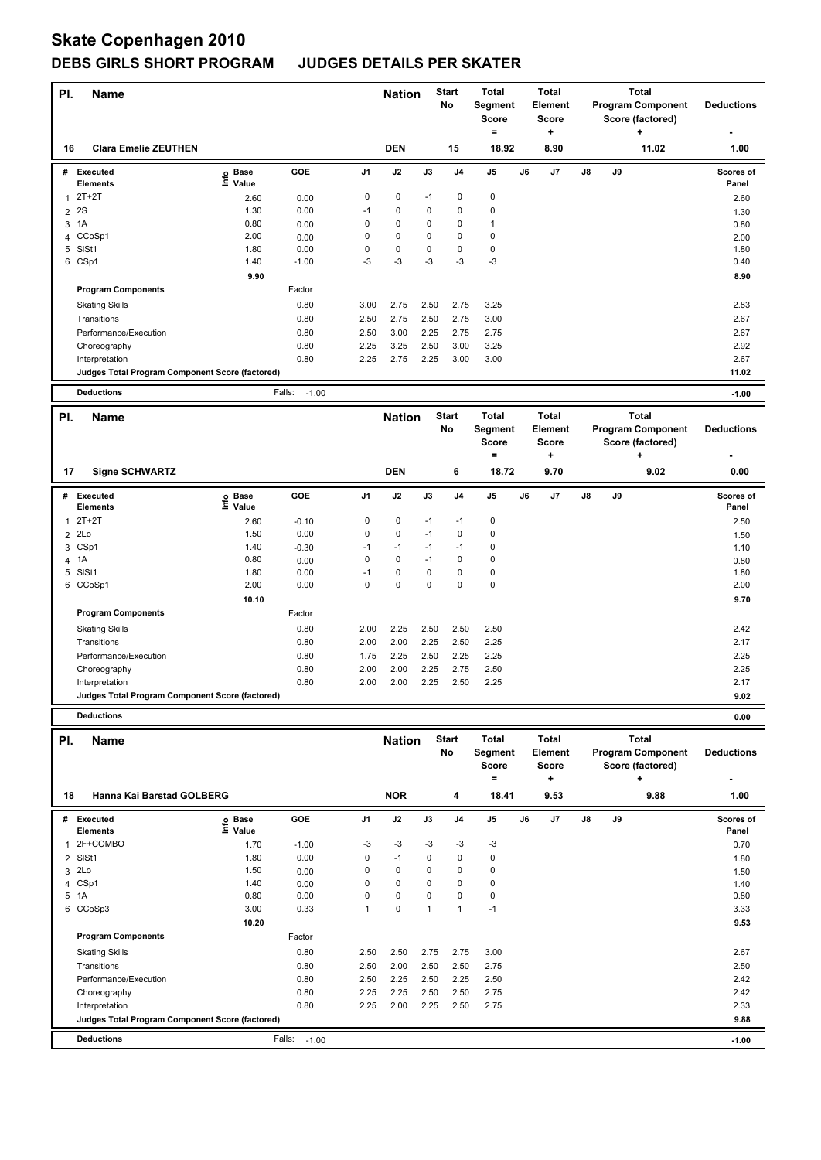# **Skate Copenhagen 2010**

## **DEBS GIRLS SHORT PROGRAM JUDGES DETAILS PER SKATER**

| PI.            | <b>Name</b>                                            |                            |                   |                | <b>Nation</b> |              | <b>Start</b>   | <b>Total</b>   |    | <b>Total</b>   |    |    | Total                    |                   |
|----------------|--------------------------------------------------------|----------------------------|-------------------|----------------|---------------|--------------|----------------|----------------|----|----------------|----|----|--------------------------|-------------------|
|                |                                                        |                            |                   |                |               |              | No             | Segment        |    | <b>Element</b> |    |    | <b>Program Component</b> | <b>Deductions</b> |
|                |                                                        |                            |                   |                |               |              |                | <b>Score</b>   |    | <b>Score</b>   |    |    | Score (factored)         |                   |
|                |                                                        |                            |                   |                |               |              |                | ۰              |    | ٠              |    |    |                          |                   |
| 16             | <b>Clara Emelie ZEUTHEN</b>                            |                            |                   |                | <b>DEN</b>    |              | 15             | 18.92          |    | 8.90           |    |    | 11.02                    | 1.00              |
| #              | Executed                                               |                            | GOE               | J <sub>1</sub> | J2            | J3           | J <sub>4</sub> | $\mathsf{J}5$  | J6 | J7             | J8 | J9 |                          | Scores of         |
|                | Elements                                               | e Base<br>⊆ Value<br>Value |                   |                |               |              |                |                |    |                |    |    |                          | Panel             |
| $\mathbf{1}$   | $2T+2T$                                                | 2.60                       | 0.00              | 0              | 0             | $-1$         | $\pmb{0}$      | $\mathbf 0$    |    |                |    |    |                          | 2.60              |
| $\overline{2}$ | 2S                                                     | 1.30                       | 0.00              | $-1$           | 0             | 0            | 0              | 0              |    |                |    |    |                          | 1.30              |
|                | 3 1A                                                   | 0.80                       | 0.00              | 0              | 0             | 0            | 0              | $\overline{1}$ |    |                |    |    |                          | 0.80              |
| 4              | CCoSp1                                                 | 2.00                       | 0.00              | 0              | 0             | 0            | 0              | $\mathbf 0$    |    |                |    |    |                          | 2.00              |
| 5              | SISt1                                                  | 1.80                       | 0.00              | 0              | 0             | 0            | 0              | $\mathbf 0$    |    |                |    |    |                          | 1.80              |
| 6              | CSp1                                                   | 1.40                       | $-1.00$           | $-3$           | $-3$          | -3           | $-3$           | $-3$           |    |                |    |    |                          | 0.40              |
|                |                                                        | 9.90                       |                   |                |               |              |                |                |    |                |    |    |                          | 8.90              |
|                | <b>Program Components</b>                              |                            | Factor            |                |               |              |                |                |    |                |    |    |                          |                   |
|                | <b>Skating Skills</b>                                  |                            | 0.80              | 3.00           | 2.75          | 2.50         | 2.75           | 3.25           |    |                |    |    |                          | 2.83              |
|                | Transitions                                            |                            | 0.80              | 2.50           | 2.75          | 2.50         | 2.75           | 3.00           |    |                |    |    |                          | 2.67              |
|                | Performance/Execution                                  |                            | 0.80              | 2.50           | 3.00          | 2.25         | 2.75           | 2.75           |    |                |    |    |                          | 2.67              |
|                | Choreography                                           |                            | 0.80              | 2.25           | 3.25          | 2.50         | 3.00           | 3.25           |    |                |    |    |                          | 2.92              |
|                | Interpretation                                         |                            | 0.80              | 2.25           | 2.75          | 2.25         | 3.00           | 3.00           |    |                |    |    |                          | 2.67              |
|                | Judges Total Program Component Score (factored)        |                            |                   |                |               |              |                |                |    |                |    |    |                          | 11.02             |
|                |                                                        |                            |                   |                |               |              |                |                |    |                |    |    |                          |                   |
|                | <b>Deductions</b>                                      |                            | Falls:<br>$-1.00$ |                |               |              |                |                |    |                |    |    |                          | $-1.00$           |
| PI.            | <b>Name</b>                                            |                            |                   |                | <b>Nation</b> |              | <b>Start</b>   | <b>Total</b>   |    | <b>Total</b>   |    |    | <b>Total</b>             |                   |
|                |                                                        |                            |                   |                |               |              | No             | Segment        |    | <b>Element</b> |    |    | <b>Program Component</b> | <b>Deductions</b> |
|                |                                                        |                            |                   |                |               |              |                | <b>Score</b>   |    | <b>Score</b>   |    |    | Score (factored)         |                   |
|                |                                                        |                            |                   |                |               |              |                | ۰              |    | ÷              |    |    | $\ddot{}$                |                   |
| 17             | <b>Signe SCHWARTZ</b>                                  |                            |                   |                | <b>DEN</b>    |              | 6              | 18.72          |    | 9.70           |    |    | 9.02                     | 0.00              |
|                |                                                        |                            |                   |                |               |              |                |                |    |                |    |    |                          |                   |
| #              | Executed                                               | e Base<br>⊑ Value          | GOE               | J <sub>1</sub> | J2            | J3           | J <sub>4</sub> | J5             | J6 | J7             | J8 | J9 |                          | Scores of         |
|                | Elements                                               |                            |                   |                |               |              |                |                |    |                |    |    |                          | Panel             |
| 1              | $2T+2T$                                                | 2.60                       | $-0.10$           | 0              | 0             | $-1$         | -1             | $\mathbf 0$    |    |                |    |    |                          | 2.50              |
| $\overline{2}$ | 2Lo                                                    | 1.50                       | 0.00              | 0              | 0             | $-1$         | $\pmb{0}$      | $\mathbf 0$    |    |                |    |    |                          | 1.50              |
|                | 3 CSp1                                                 | 1.40                       | $-0.30$           | $-1$           | $-1$          | $-1$         | -1             | $\mathbf 0$    |    |                |    |    |                          | 1.10              |
| 4              | 1A                                                     | 0.80                       | 0.00              | 0              | 0             | $-1$         | 0              | $\mathbf 0$    |    |                |    |    |                          | 0.80              |
|                | 5 SISt1                                                | 1.80                       | 0.00              | $-1$           | 0             | $\mathbf 0$  | 0              | $\mathbf 0$    |    |                |    |    |                          | 1.80              |
| 6              | CCoSp1                                                 | 2.00                       | 0.00              | 0              | 0             | 0            | 0              | $\mathbf 0$    |    |                |    |    |                          | 2.00              |
|                |                                                        | 10.10                      |                   |                |               |              |                |                |    |                |    |    |                          | 9.70              |
|                | <b>Program Components</b>                              |                            | Factor            |                |               |              |                |                |    |                |    |    |                          |                   |
|                | <b>Skating Skills</b>                                  |                            | 0.80              | 2.00           | 2.25          | 2.50         | 2.50           | 2.50           |    |                |    |    |                          | 2.42              |
|                | Transitions                                            |                            | 0.80              | 2.00           | 2.00          | 2.25         | 2.50           | 2.25           |    |                |    |    |                          | 2.17              |
|                | Performance/Execution                                  |                            | 0.80              | 1.75           | 2.25          | 2.50         | 2.25           | 2.25           |    |                |    |    |                          | 2.25              |
|                | Choreography                                           |                            | 0.80              | 2.00           | 2.00          | 2.25         | 2.75           | 2.50           |    |                |    |    |                          | 2.25              |
|                | Interpretation                                         |                            | 0.80              | 2.00           | 2.00          | 2.25         | 2.50           | 2.25           |    |                |    |    |                          | 2.17              |
|                | <b>Judges Total Program Component Score (factored)</b> |                            |                   |                |               |              |                |                |    |                |    |    |                          | 9.02              |
|                | <b>Deductions</b>                                      |                            |                   |                |               |              |                |                |    |                |    |    |                          | 0.00              |
|                |                                                        |                            |                   |                |               |              |                |                |    |                |    |    |                          |                   |
| PI.            | <b>Name</b>                                            |                            |                   |                | <b>Nation</b> |              | <b>Start</b>   | <b>Total</b>   |    | Total          |    |    | <b>Total</b>             |                   |
|                |                                                        |                            |                   |                |               |              | No             | Segment        |    | Element        |    |    | <b>Program Component</b> | <b>Deductions</b> |
|                |                                                        |                            |                   |                |               |              |                | Score          |    | Score          |    |    | Score (factored)         |                   |
|                |                                                        |                            |                   |                |               |              |                | $=$            |    | +              |    |    | $\ddot{}$                |                   |
| 18             | Hanna Kai Barstad GOLBERG                              |                            |                   |                | <b>NOR</b>    |              | 4              | 18.41          |    | 9.53           |    |    | 9.88                     | 1.00              |
|                | # Executed                                             | <b>Base</b>                | GOE               | J1             | J2            | J3           | J4             | J5             | J6 | J7             | J8 | J9 |                          | Scores of         |
|                | <b>Elements</b>                                        | e Base<br>E Value          |                   |                |               |              |                |                |    |                |    |    |                          | Panel             |
| $\mathbf{1}$   | 2F+COMBO                                               | 1.70                       | $-1.00$           | -3             | -3            | -3           | -3             | -3             |    |                |    |    |                          | 0.70              |
| $\overline{2}$ | SISt1                                                  | 1.80                       | 0.00              | 0              | $-1$          | 0            | 0              | $\mathbf 0$    |    |                |    |    |                          | 1.80              |
|                | 3 2Lo                                                  | 1.50                       | 0.00              | 0              | 0             | 0            | 0              | 0              |    |                |    |    |                          | 1.50              |
| $\overline{4}$ | CSp1                                                   | 1.40                       | 0.00              | 0              | 0             | 0            | 0              | 0              |    |                |    |    |                          | 1.40              |
|                | 5 1A                                                   | 0.80                       | 0.00              | 0              | 0             | 0            | 0              | $\mathbf 0$    |    |                |    |    |                          | 0.80              |
|                | 6 CCoSp3                                               | 3.00                       | 0.33              | $\mathbf{1}$   | 0             | $\mathbf{1}$ | $\mathbf{1}$   | $-1$           |    |                |    |    |                          | 3.33              |
|                |                                                        | 10.20                      |                   |                |               |              |                |                |    |                |    |    |                          | 9.53              |
|                | <b>Program Components</b>                              |                            | Factor            |                |               |              |                |                |    |                |    |    |                          |                   |
|                | <b>Skating Skills</b>                                  |                            | 0.80              | 2.50           | 2.50          | 2.75         | 2.75           | 3.00           |    |                |    |    |                          | 2.67              |
|                | Transitions                                            |                            | 0.80              | 2.50           | 2.00          | 2.50         | 2.50           | 2.75           |    |                |    |    |                          | 2.50              |
|                | Performance/Execution                                  |                            | 0.80              | 2.50           | 2.25          | 2.50         | 2.25           | 2.50           |    |                |    |    |                          | 2.42              |

Choreography 0.80 2.25 2.25 2.50 2.50 2.75 2.42 Interpretation 0.80 2.25 2.00 2.25 2.50 2.75 2.33

**Deductions** Falls: -1.00 **-1.00 Judges Total Program Component Score (factored) 9.88**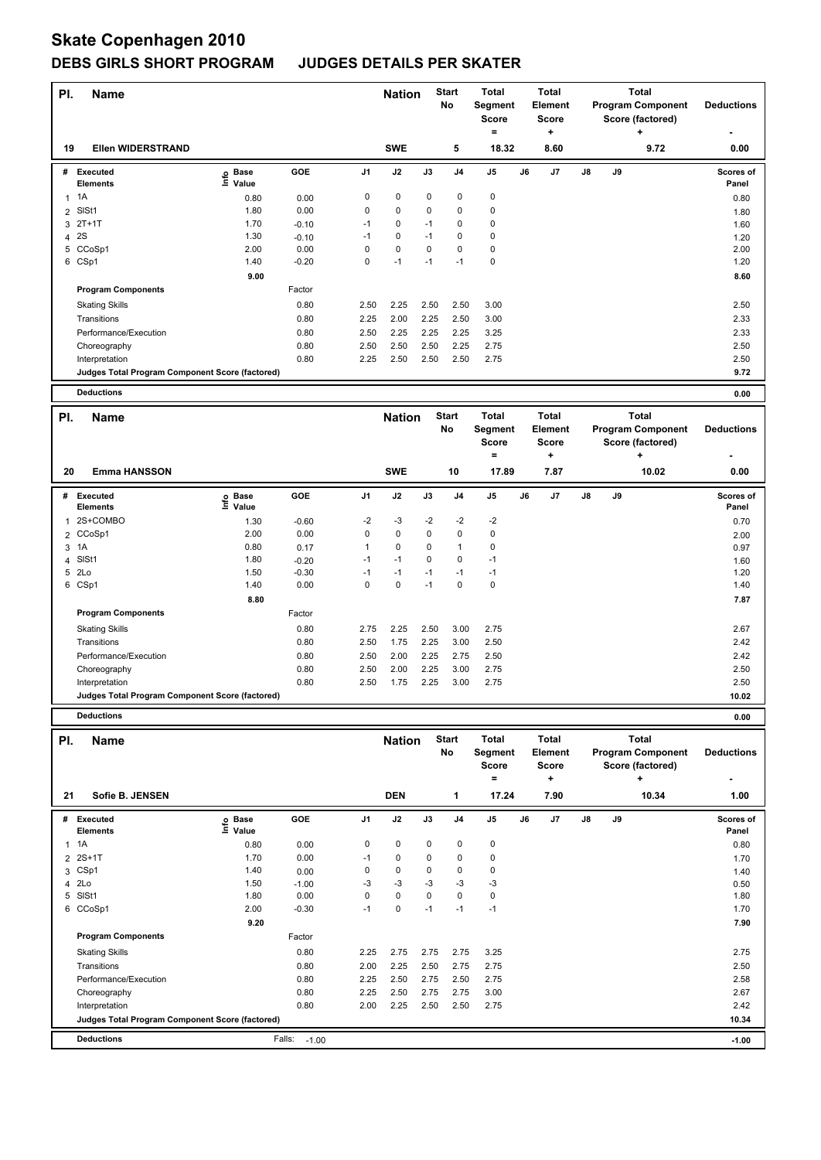# **Skate Copenhagen 2010**

### **DEBS GIRLS SHORT PROGRAM JUDGES DETAILS PER SKATER**

| PI.<br>Name    |                                                 |                              |         |                |               | <b>Nation</b> | <b>Start</b><br><b>No</b> | <b>Total</b><br>Segment<br><b>Score</b><br>۰ | <b>Total</b><br>Element<br><b>Score</b><br>÷ |               | <b>Total</b><br><b>Program Component</b><br>Score (factored)<br>÷ | <b>Deductions</b>  |
|----------------|-------------------------------------------------|------------------------------|---------|----------------|---------------|---------------|---------------------------|----------------------------------------------|----------------------------------------------|---------------|-------------------------------------------------------------------|--------------------|
| 19             | <b>Ellen WIDERSTRAND</b>                        |                              |         |                | <b>SWE</b>    |               | 5                         | 18.32                                        | 8.60                                         |               | 9.72                                                              | 0.00               |
|                | # Executed<br><b>Elements</b>                   | <b>Base</b><br>Info<br>Value | GOE     | J <sub>1</sub> | J2            | J3            | J <sub>4</sub>            | J <sub>5</sub>                               | J7<br>J6                                     | $\mathsf{J}8$ | J9                                                                | Scores of<br>Panel |
| $\overline{1}$ | 1A                                              | 0.80                         | 0.00    | 0              | $\mathbf 0$   | $\mathbf 0$   | 0                         | $\pmb{0}$                                    |                                              |               |                                                                   | 0.80               |
|                | 2 SISt1                                         | 1.80                         | 0.00    | 0              | $\mathbf 0$   | 0             | 0                         | $\pmb{0}$                                    |                                              |               |                                                                   | 1.80               |
| 3              | $2T+1T$                                         | 1.70                         | $-0.10$ | $-1$           | 0             | $-1$          | $\Omega$                  | 0                                            |                                              |               |                                                                   | 1.60               |
| 4              | 2S                                              | 1.30                         | $-0.10$ | $-1$           | $\mathbf 0$   | $-1$          | 0                         | $\mathbf 0$                                  |                                              |               |                                                                   | 1.20               |
|                | 5 CCoSp1                                        | 2.00                         | 0.00    | $\Omega$       | $\Omega$      | $\Omega$      | 0                         | $\pmb{0}$                                    |                                              |               |                                                                   | 2.00               |
|                | 6 CSp1                                          | 1.40                         | $-0.20$ | 0              | $-1$          | $-1$          | $-1$                      | $\mathbf 0$                                  |                                              |               |                                                                   | 1.20               |
|                |                                                 | 9.00                         |         |                |               |               |                           |                                              |                                              |               |                                                                   | 8.60               |
|                | <b>Program Components</b>                       |                              | Factor  |                |               |               |                           |                                              |                                              |               |                                                                   |                    |
|                | <b>Skating Skills</b>                           |                              | 0.80    | 2.50           | 2.25          | 2.50          | 2.50                      | 3.00                                         |                                              |               |                                                                   | 2.50               |
|                | Transitions                                     |                              | 0.80    | 2.25           | 2.00          | 2.25          | 2.50                      | 3.00                                         |                                              |               |                                                                   | 2.33               |
|                | Performance/Execution                           |                              | 0.80    | 2.50           | 2.25          | 2.25          | 2.25                      | 3.25                                         |                                              |               |                                                                   | 2.33               |
|                | Choreography                                    |                              | 0.80    | 2.50           | 2.50          | 2.50          | 2.25                      | 2.75                                         |                                              |               |                                                                   | 2.50               |
|                | Interpretation                                  |                              | 0.80    | 2.25           | 2.50          | 2.50          | 2.50                      | 2.75                                         |                                              |               |                                                                   | 2.50               |
|                | Judges Total Program Component Score (factored) |                              |         |                |               |               |                           |                                              |                                              |               |                                                                   | 9.72               |
|                | <b>Deductions</b>                               |                              |         |                |               |               |                           |                                              |                                              |               |                                                                   | 0.00               |
| PI.            | <b>Name</b>                                     |                              |         |                | <b>Nation</b> |               | <b>Start</b><br>No        | Total<br><b>Segment</b>                      | Total<br>Element                             |               | <b>Total</b><br><b>Program Component</b>                          | <b>Deductions</b>  |
|                |                                                 |                              |         |                |               |               |                           | <b>Score</b><br>$=$                          | <b>Score</b><br>÷                            |               | Score (factored)<br>٠                                             |                    |
|                |                                                 |                              |         |                |               |               |                           |                                              |                                              |               |                                                                   |                    |
| 20             | <b>Emma HANSSON</b>                             |                              |         |                | <b>SWE</b>    |               | 10                        | 17.89                                        | 7.87                                         |               | 10.02                                                             | 0.00               |
|                | # Executed                                      | o Base                       | GOE     | J <sub>1</sub> | J2            | J3            | J <sub>4</sub>            | J5                                           | J6<br>J7                                     | J8            | J9                                                                | <b>Scores of</b>   |

<sup>1</sup> 2S+COMBO 1.30 -0.60 -2 -3 -2 -2 -2 0.70 **Info**

 CCoSp1 2.00 0.00 0 0 0 0 0 2.00 1A 0.80 0.17 1 0 0 1 0 0.97 SlSt1 1.80 -0.20 -1 -1 0 0 -1 1.60 2Lo 1.50 -0.30 -1 -1 -1 -1 -1 1.20 CSp1 1.40 0.00 0 0 -1 0 0 1.40

Skating Skills 2.75 2.25 2.50 3.00 2.75 0.80 2.67

Transitions 0.80 2.50 1.75 2.25 3.00 2.50 2.42

**GOE J1 J2 J3 J4 J5 J6 J7 J8 J9 Scores of** 

 **8.80 7.87**

**Panel**

Performance/Execution 0.80 2.50 2.00 2.25 2.75 2.50 2.42 Choreography 0.80 2.50 2.00 2.25 3.00 2.75 2.50 Interpretation 0.80 2.50 1.75 2.25 3.00 2.75 2.50

**Program Components** 

**Base Value** 

Factor

**Judges Total Program Component Score (factored) 10.02**

**Deductions 0.00**

**Elements** 

| PI. | <b>Name</b>                                     |                            |                   |                | <b>Nation</b> |             | <b>Start</b><br>No | Total<br>Segment<br><b>Score</b><br>$=$ |    | Total<br>Element<br><b>Score</b><br>÷ | <b>Total</b><br><b>Program Component</b><br>Score (factored)<br>÷ |       |  | <b>Deductions</b>         |
|-----|-------------------------------------------------|----------------------------|-------------------|----------------|---------------|-------------|--------------------|-----------------------------------------|----|---------------------------------------|-------------------------------------------------------------------|-------|--|---------------------------|
| 21  | Sofie B. JENSEN                                 |                            |                   |                | <b>DEN</b>    |             | 1                  | 17.24                                   |    | 7.90                                  |                                                                   | 10.34 |  | 1.00                      |
| #   | Executed<br><b>Elements</b>                     | e Base<br>E Value<br>Value | GOE               | J <sub>1</sub> | J2            | J3          | J <sub>4</sub>     | J <sub>5</sub>                          | J6 | J7                                    | $\mathsf{J}8$                                                     | J9    |  | <b>Scores of</b><br>Panel |
|     | $1 \t1A$                                        | 0.80                       | 0.00              | 0              | 0             | 0           | 0                  | 0                                       |    |                                       |                                                                   |       |  | 0.80                      |
|     | 2 2S+1T                                         | 1.70                       | 0.00              | $-1$           | 0             | 0           | 0                  | 0                                       |    |                                       |                                                                   |       |  | 1.70                      |
| 3   | CSp1                                            | 1.40                       | 0.00              | 0              | 0             | $\mathbf 0$ | $\mathbf 0$        | 0                                       |    |                                       |                                                                   |       |  | 1.40                      |
|     | 4 2Lo                                           | 1.50                       | $-1.00$           | $-3$           | $-3$          | $-3$        | $-3$               | $-3$                                    |    |                                       |                                                                   |       |  | 0.50                      |
| 5   | SISt1                                           | 1.80                       | 0.00              | 0              | 0             | $\Omega$    | 0                  | 0                                       |    |                                       |                                                                   |       |  | 1.80                      |
| 6   | CCoSp1                                          | 2.00                       | $-0.30$           | $-1$           | 0             | $-1$        | $-1$               | $-1$                                    |    |                                       |                                                                   |       |  | 1.70                      |
|     |                                                 | 9.20                       |                   |                |               |             |                    |                                         |    |                                       |                                                                   |       |  | 7.90                      |
|     | <b>Program Components</b>                       |                            | Factor            |                |               |             |                    |                                         |    |                                       |                                                                   |       |  |                           |
|     | <b>Skating Skills</b>                           |                            | 0.80              | 2.25           | 2.75          | 2.75        | 2.75               | 3.25                                    |    |                                       |                                                                   |       |  | 2.75                      |
|     | Transitions                                     |                            | 0.80              | 2.00           | 2.25          | 2.50        | 2.75               | 2.75                                    |    |                                       |                                                                   |       |  | 2.50                      |
|     | Performance/Execution                           |                            | 0.80              | 2.25           | 2.50          | 2.75        | 2.50               | 2.75                                    |    |                                       |                                                                   |       |  | 2.58                      |
|     | Choreography                                    |                            | 0.80              | 2.25           | 2.50          | 2.75        | 2.75               | 3.00                                    |    |                                       |                                                                   |       |  | 2.67                      |
|     | Interpretation                                  |                            | 0.80              | 2.00           | 2.25          | 2.50        | 2.50               | 2.75                                    |    |                                       |                                                                   |       |  | 2.42                      |
|     | Judges Total Program Component Score (factored) |                            |                   |                |               |             |                    |                                         |    |                                       |                                                                   |       |  | 10.34                     |
|     | <b>Deductions</b>                               |                            | Falls:<br>$-1.00$ |                |               |             |                    |                                         |    |                                       |                                                                   |       |  | $-1.00$                   |